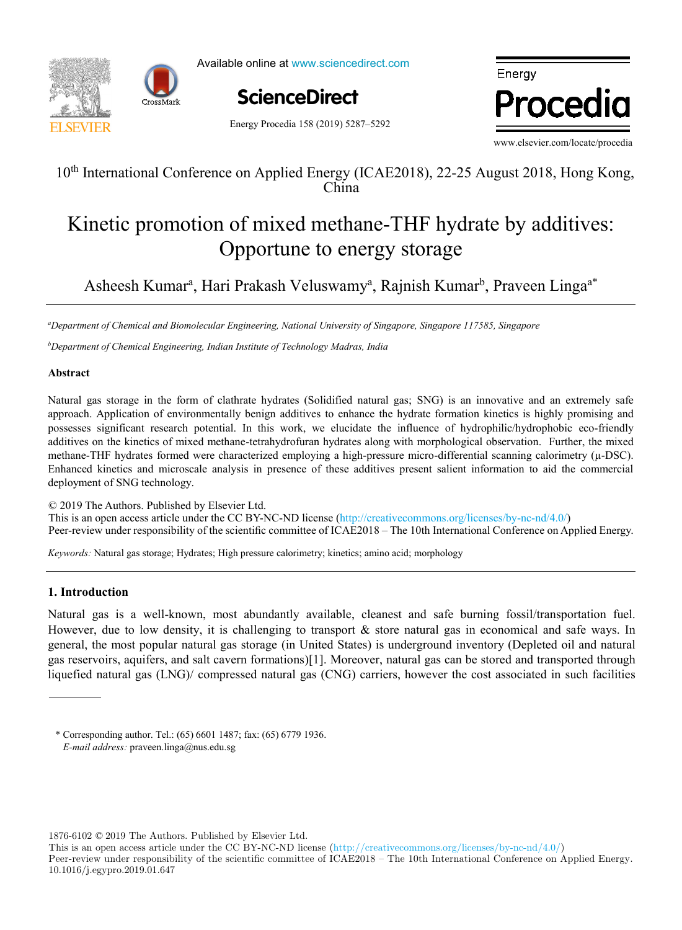



Available online at www.sciencedirect.com

Energy Procedia 158 (2019) 5287–5292



Energy Procedia

www.elsevier.com/locate/procedia

# $10^{\text{th}}$  International Conference on Applied Energy (ICAE2018), 22-25 August 2018, Hong Kong,  $\text{H}$ 10<sup>th</sup> International Conference on Applied Energy (ICAE2018), 22-25 August 2018, Hong Kong, China

#### romotion of mixed methane-THF hydrate by ad  $\Delta$  opportune to energy storage Kinetic promotion of mixed methane-THF hydrate by additives: Opportune to energy storage Kinetic promotion of mixed methane-THF hydrate by additives: Opportune to energy storage

Asheesh Kumar<sup>a</sup>, Hari Prakash Veluswamy<sup>a</sup>, Rajnish Kumar<sup>b</sup>, Praveen Linga<sup>a\*</sup> Asheesh Kumara , Hari Prakash Veluswamya , Rajnish Kumarb , Praveen Lingaa\* Asheesh Kumar<sup>a</sup>, Hari Prakash Veluswamy<sup>a</sup>, Rajnish Kumar<sup>b</sup>, Praveen Linga<sup>a\*</sup>

<sup>a</sup>Department of Chemical and Biomolecular Engineering, National University of Singapore, Singapore 117585, Singapore *Department of Chemical Engineering, Indian Institute of Technology Madras, India*

<sup>b</sup>Department of Chemical Engineering, Indian Institute of Technology Madras, India

### **Abstract**

possesses significant research potential. In this work, we elucidate the influence of hydrophilic/hydrophobic eco-friendly methane-THF hydrates formed were characterized employing a high-pressure micro-differential scanning calorimetry (µ-DSC). Enhanced kinetics and microscale analysis in presence of these additives present salient information to aid the commercial deployment of SNG technology. Natural gas storage in the form of clathrate hydrates (Solidified natural gas; SNG) is an innovative and an extremely safe approach. Application of environmentally benign additives to enhance the hydrate formation kinetics is highly promising and additives on the kinetics of mixed methane-tetrahydrofuran hydrates along with morphological observation. Further, the mixed

C 2019 The Authors. Published by Elsevier Ltd.<br>This is an open access article under the CC BY-NC-ND license (http://creativecommons.org/licenses/by-nc-nd/4.0/) forecast. The district of Alvalage in Lisbon (Portugal), was used as a case of  $\frac{1}{2}$  and  $\frac{1}{2}$  and  $\frac{1}{2}$  and  $\frac{1}{2}$  and  $\frac{1}{2}$  and  $\frac{1}{2}$  and  $\frac{1}{2}$  and  $\frac{1}{2}$  and  $\frac{1}{2}$  and  $\frac{1}{2}$  and  $\frac$ Peer-review under responsibility of the scientific committee of ICAE2018 – The 10th International Conference on Applied Energy. © 2019 The Authors. Published by Elsevier Ltd. Teer fevrew ander te

Keywords: Natural gas storage; Hydrates; High pressure calorimetry; kinetics; amino acid; morphology compared with results from a dynamic heat demand model, previously developed and validated by the authors. *Keywords:* Natural gas storage; Hydrates; High pressure calorimetry; kinetics; amino acid; morphology

## (the error in annual demand was lower than 20% for all weather scenarios considered). However, after introducing renovation **1. Introduction**

scenarios, the error value increased up to 59.5% (depending on the weather and renovation scenarios combination considered). Natural gas is a well-known, most abundantly available, cleanest and safe burning fossil/transportation fuel. However, due to low density, it is challenging to transport & store natural gas in economical and safe ways. In general, the most popular natural gas storage (in United States) is underground inventory (Depleted oil and natural gas reservoirs, aquifers, and salt cavern formations)[1]. Moreover, natural gas can be stored and transported through liquefied natural gas (LNG)/ compressed natural gas (CNG) carriers, however the cost associated in such facilities **1. Introduction** 

\* Corresponding author. Tel.: (65) 6601 1487; fax: (65) 6779 1936. *Keywords:* Heat demand; Forecast; Climate change *E-mail address:* praveen.linga@nus.edu.sg

© 2017 The Authors. Published by Elsevier Ltd.

1876-6102 © 2019 The Authors. Published by Elsevier Ltd.

This is an open access article under the CC BY-NC-ND license (http://creativecommons.org/licenses/by-nc-nd/4.0/)

Peer-review under responsibility of the scientific committee of ICAE2018 – The 10th International Conference on Applied Energy. 10.1016/j.egypro.2019.01.647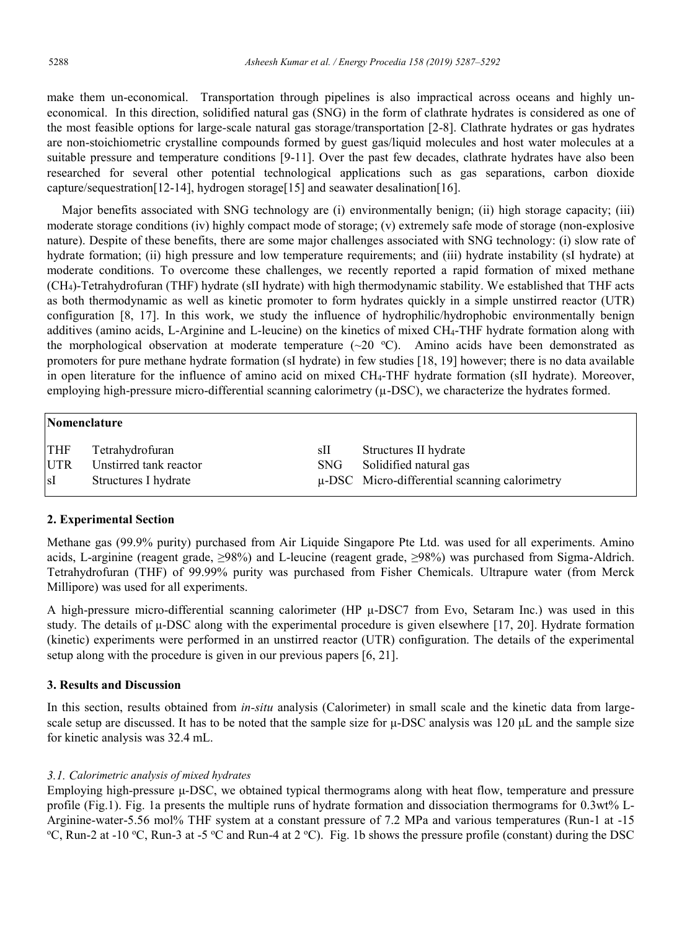make them un-economical. Transportation through pipelines is also impractical across oceans and highly uneconomical. In this direction, solidified natural gas (SNG) in the form of clathrate hydrates is considered as one of the most feasible options for large-scale natural gas storage/transportation [2-8]. Clathrate hydrates or gas hydrates are non-stoichiometric crystalline compounds formed by guest gas/liquid molecules and host water molecules at a suitable pressure and temperature conditions [9-11]. Over the past few decades, clathrate hydrates have also been researched for several other potential technological applications such as gas separations, carbon dioxide capture/sequestration[12-14], hydrogen storage[15] and seawater desalination[16].

Major benefits associated with SNG technology are (i) environmentally benign; (ii) high storage capacity; (iii) moderate storage conditions (iv) highly compact mode of storage; (v) extremely safe mode of storage (non-explosive nature). Despite of these benefits, there are some major challenges associated with SNG technology: (i) slow rate of hydrate formation; (ii) high pressure and low temperature requirements; and (iii) hydrate instability (sI hydrate) at moderate conditions. To overcome these challenges, we recently reported a rapid formation of mixed methane (CH4)-Tetrahydrofuran (THF) hydrate (sII hydrate) with high thermodynamic stability. We established that THF acts as both thermodynamic as well as kinetic promoter to form hydrates quickly in a simple unstirred reactor (UTR) configuration [8, 17]. In this work, we study the influence of hydrophilic/hydrophobic environmentally benign additives (amino acids, L-Arginine and L-leucine) on the kinetics of mixed CH4-THF hydrate formation along with the morphological observation at moderate temperature  $(\sim 20$  °C). Amino acids have been demonstrated as promoters for pure methane hydrate formation (sI hydrate) in few studies [18, 19] however; there is no data available in open literature for the influence of amino acid on mixed CH4-THF hydrate formation (sII hydrate). Moreover, employing high-pressure micro-differential scanning calorimetry  $(\mu$ -DSC), we characterize the hydrates formed.

|            | Nomenclature           |      |                                                    |  |  |
|------------|------------------------|------|----------------------------------------------------|--|--|
| <b>THF</b> | Tetrahydrofuran        | sII  | Structures II hydrate                              |  |  |
| <b>UTR</b> | Unstirred tank reactor | SNG. | Solidified natural gas                             |  |  |
| sI         | Structures I hydrate   |      | $\mu$ -DSC Micro-differential scanning calorimetry |  |  |

### **2. Experimental Section**

Methane gas (99.9% purity) purchased from Air Liquide Singapore Pte Ltd. was used for all experiments. Amino acids, L-arginine (reagent grade, ≥98%) and L-leucine (reagent grade, ≥98%) was purchased from Sigma-Aldrich. Tetrahydrofuran (THF) of 99.99% purity was purchased from Fisher Chemicals. Ultrapure water (from Merck Millipore) was used for all experiments.

A high-pressure micro-differential scanning calorimeter (HP μ-DSC7 from Evo, Setaram Inc.) was used in this study. The details of  $\mu$ -DSC along with the experimental procedure is given elsewhere [17, 20]. Hydrate formation (kinetic) experiments were performed in an unstirred reactor (UTR) configuration. The details of the experimental setup along with the procedure is given in our previous papers [6, 21].

### **3. Results and Discussion**

In this section, results obtained from *in-situ* analysis (Calorimeter) in small scale and the kinetic data from largescale setup are discussed. It has to be noted that the sample size for  $\mu$ -DSC analysis was 120  $\mu$ L and the sample size for kinetic analysis was 32.4 mL.

### *3.1. Calorimetric analysis of mixed hydrates*

Employing high-pressure μ-DSC, we obtained typical thermograms along with heat flow, temperature and pressure profile (Fig.1). Fig. 1a presents the multiple runs of hydrate formation and dissociation thermograms for 0.3wt% L-Arginine-water-5.56 mol% THF system at a constant pressure of 7.2 MPa and various temperatures (Run-1 at -15 C, Run-2 at -10 °C, Run-3 at -5 °C and Run-4 at 2 °C). Fig. 1b shows the pressure profile (constant) during the DSC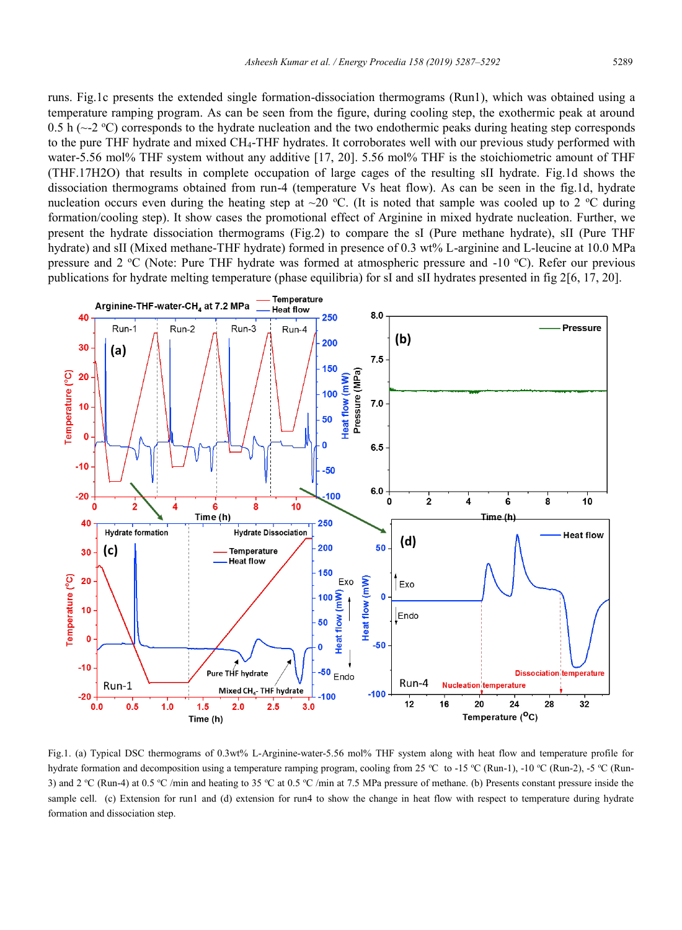runs. Fig.1c presents the extended single formation-dissociation thermograms (Run1), which was obtained using a temperature ramping program. As can be seen from the figure, during cooling step, the exothermic peak at around 0.5 h ( $\sim$ -2 °C) corresponds to the hydrate nucleation and the two endothermic peaks during heating step corresponds to the pure THF hydrate and mixed CH4-THF hydrates. It corroborates well with our previous study performed with water-5.56 mol% THF system without any additive [17, 20]. 5.56 mol% THF is the stoichiometric amount of THF (THF.17H2O) that results in complete occupation of large cages of the resulting sII hydrate. Fig.1d shows the dissociation thermograms obtained from run-4 (temperature Vs heat flow). As can be seen in the fig.1d, hydrate nucleation occurs even during the heating step at  $\sim$  20 °C. (It is noted that sample was cooled up to 2 °C during formation/cooling step). It show cases the promotional effect of Arginine in mixed hydrate nucleation. Further, we present the hydrate dissociation thermograms (Fig.2) to compare the sI (Pure methane hydrate), sII (Pure THF hydrate) and sII (Mixed methane-THF hydrate) formed in presence of 0.3 wt% L-arginine and L-leucine at 10.0 MPa pressure and 2 °C (Note: Pure THF hydrate was formed at atmospheric pressure and -10 °C). Refer our previous publications for hydrate melting temperature (phase equilibria) for sI and sII hydrates presented in fig 2[6, 17, 20].



Fig.1. (a) Typical DSC thermograms of 0.3wt% L-Arginine-water-5.56 mol% THF system along with heat flow and temperature profile for hydrate formation and decomposition using a temperature ramping program, cooling from 25 °C to -15 °C (Run-1), -10 °C (Run-2), -5 °C (Run-3) and 2 °C (Run-4) at 0.5 °C /min and heating to 35 °C at 0.5 °C /min at 7.5 MPa pressure of methane. (b) Presents constant pressure inside the sample cell. (c) Extension for run1 and (d) extension for run4 to show the change in heat flow with respect to temperature during hydrate formation and dissociation step.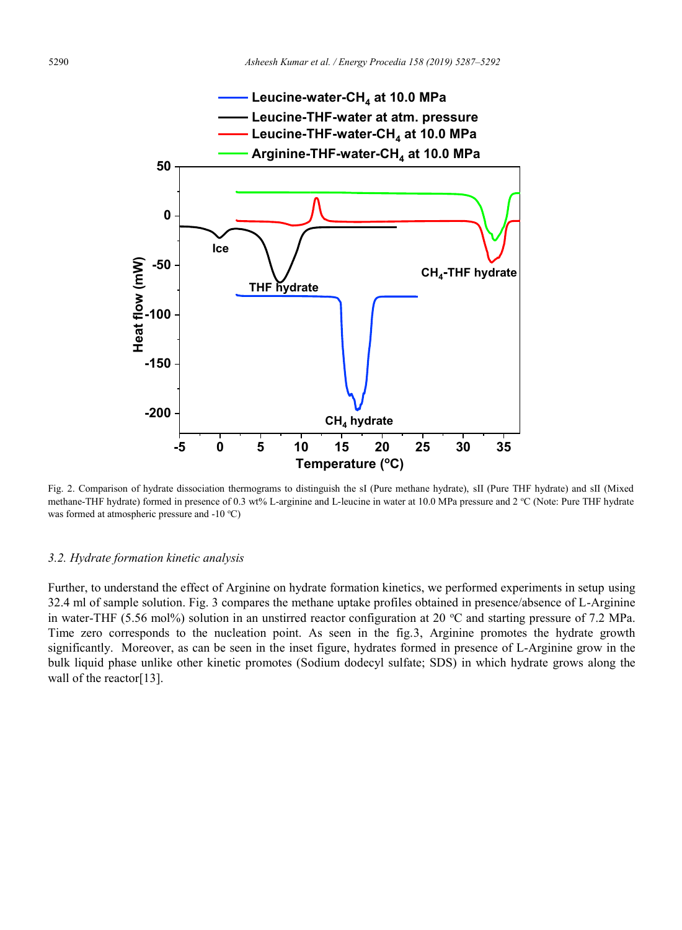

Fig. 2. Comparison of hydrate dissociation thermograms to distinguish the sI (Pure methane hydrate), sII (Pure THF hydrate) and sII (Mixed methane-THF hydrate) formed in presence of 0.3 wt% L-arginine and L-leucine in water at 10.0 MPa pressure and 2 °C (Note: Pure THF hydrate was formed at atmospheric pressure and -10 °C)

#### *3.2. Hydrate formation kinetic analysis*

Further, to understand the effect of Arginine on hydrate formation kinetics, we performed experiments in setup using 32.4 ml of sample solution. Fig. 3 compares the methane uptake profiles obtained in presence/absence of L-Arginine in water-THF (5.56 mol%) solution in an unstirred reactor configuration at 20  $\degree$ C and starting pressure of 7.2 MPa. Time zero corresponds to the nucleation point. As seen in the fig.3, Arginine promotes the hydrate growth significantly. Moreover, as can be seen in the inset figure, hydrates formed in presence of L-Arginine grow in the bulk liquid phase unlike other kinetic promotes (Sodium dodecyl sulfate; SDS) in which hydrate grows along the wall of the reactor[13].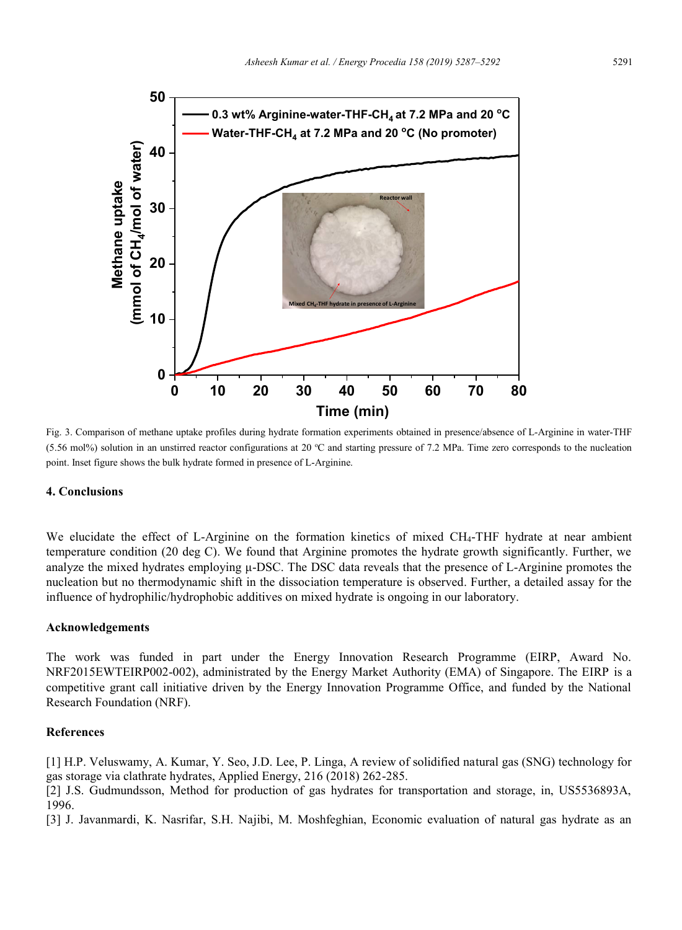

Fig. 3. Comparison of methane uptake profiles during hydrate formation experiments obtained in presence/absence of L-Arginine in water-THF  $(5.56 \text{ mol})$  solution in an unstirred reactor configurations at 20 °C and starting pressure of 7.2 MPa. Time zero corresponds to the nucleation point. Inset figure shows the bulk hydrate formed in presence of L-Arginine.

### **4. Conclusions**

We elucidate the effect of L-Arginine on the formation kinetics of mixed CH<sub>4</sub>-THF hydrate at near ambient temperature condition (20 deg C). We found that Arginine promotes the hydrate growth significantly. Further, we analyze the mixed hydrates employing μ-DSC. The DSC data reveals that the presence of L-Arginine promotes the nucleation but no thermodynamic shift in the dissociation temperature is observed. Further, a detailed assay for the influence of hydrophilic/hydrophobic additives on mixed hydrate is ongoing in our laboratory.

#### **Acknowledgements**

The work was funded in part under the Energy Innovation Research Programme (EIRP, Award No. NRF2015EWTEIRP002-002), administrated by the Energy Market Authority (EMA) of Singapore. The EIRP is a competitive grant call initiative driven by the Energy Innovation Programme Office, and funded by the National Research Foundation (NRF).

## **References**

[1] H.P. Veluswamy, A. Kumar, Y. Seo, J.D. Lee, P. Linga, A review of solidified natural gas (SNG) technology for gas storage via clathrate hydrates, Applied Energy, 216 (2018) 262-285.

[2] J.S. Gudmundsson, Method for production of gas hydrates for transportation and storage, in, US5536893A, 1996.

[3] J. Javanmardi, K. Nasrifar, S.H. Najibi, M. Moshfeghian, Economic evaluation of natural gas hydrate as an